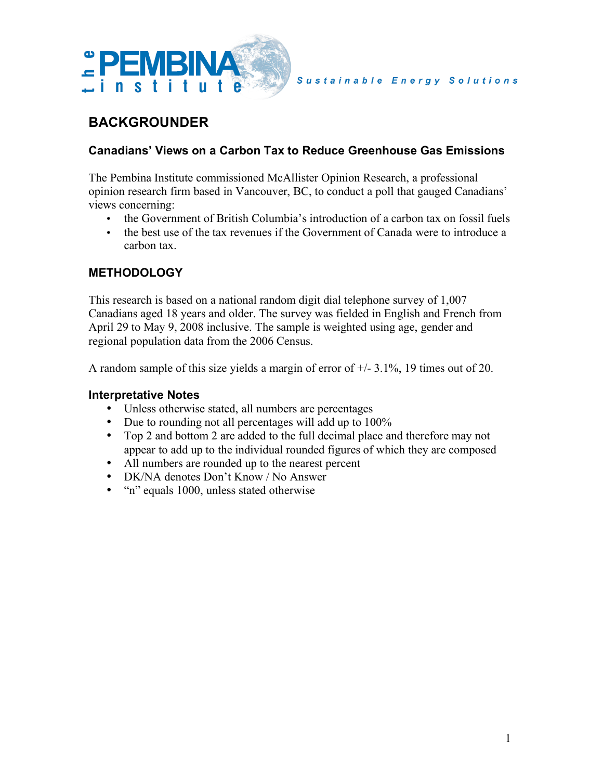

# **BACKGROUNDER**

### **Canadians' Views on a Carbon Tax to Reduce Greenhouse Gas Emissions**

The Pembina Institute commissioned McAllister Opinion Research, a professional opinion research firm based in Vancouver, BC, to conduct a poll that gauged Canadians' views concerning:

- the Government of British Columbia's introduction of a carbon tax on fossil fuels
- the best use of the tax revenues if the Government of Canada were to introduce a carbon tax.

## **METHODOLOGY**

This research is based on a national random digit dial telephone survey of 1,007 Canadians aged 18 years and older. The survey was fielded in English and French from April 29 to May 9, 2008 inclusive. The sample is weighted using age, gender and regional population data from the 2006 Census.

A random sample of this size yields a margin of error of +/- 3.1%, 19 times out of 20.

#### **Interpretative Notes**

- Unless otherwise stated, all numbers are percentages
- Due to rounding not all percentages will add up to 100%
- Top 2 and bottom 2 are added to the full decimal place and therefore may not appear to add up to the individual rounded figures of which they are composed
- All numbers are rounded up to the nearest percent
- DK/NA denotes Don't Know / No Answer
- "n" equals 1000, unless stated otherwise